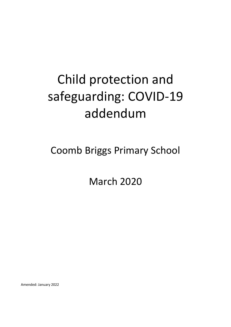# Child protection and safeguarding: COVID-19 addendum

Coomb Briggs Primary School

March 2020

Amended: January 2022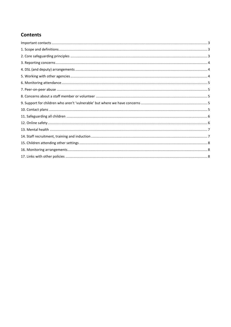# **Contents**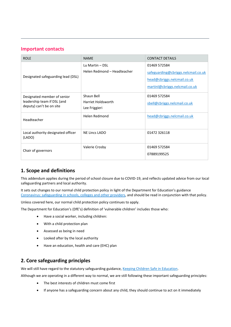## <span id="page-2-0"></span>**Important contacts**

| <b>ROLE</b>                                                                            | <b>NAME</b>                                       | <b>CONTACT DETAILS</b>                                                                                               |
|----------------------------------------------------------------------------------------|---------------------------------------------------|----------------------------------------------------------------------------------------------------------------------|
| Designated safeguarding lead (DSL)                                                     | Lu Martin - DSL<br>Helen Redmond - Headteacher    | 01469 572584<br>safeguarding@cbriggs.nelcmail.co.uk<br>head@cbriggs.nelcmail.co.uk<br>martinl@cbriggs.nelcmail.co.uk |
| Designated member of senior<br>leadership team if DSL (and<br>deputy) can't be on site | Shaun Bell<br>Harriet Holdsworth<br>Lee Friggieri | 01469 572584<br>sbell@cbriggs.nelcmail.co.uk                                                                         |
| Headteacher                                                                            | Helen Redmond                                     | head@cbriggs.nelcmail.co.uk                                                                                          |
| Local authority designated officer<br>(LADO)                                           | <b>NE Lincs LADO</b>                              | 01472 326118                                                                                                         |
| Chair of governors                                                                     | Valerie Crosby                                    | 01469 572584<br>07889199525                                                                                          |

# <span id="page-2-1"></span>**1. Scope and definitions**

This addendum applies during the period of school closure due to COVID-19, and reflects updated advice from our local safeguarding partners and local authority.

It sets out changes to our normal child protection policy in light of the Department for Education's guidance [Coronavirus: safeguarding in schools, colleges and other providers,](https://www.gov.uk/government/publications/covid-19-safeguarding-in-schools-colleges-and-other-providers) and should be read in conjunction with that policy.

Unless covered here, our normal child protection policy continues to apply.

The Department for Education's (DfE's) definition of 'vulnerable children' includes those who:

- Have a social worker, including children:
- With a child protection plan
- Assessed as being in need
- Looked after by the local authority
- Have an education, health and care (EHC) plan

## <span id="page-2-2"></span>**2. Core safeguarding principles**

We will still have regard to the statutory safeguarding guidance, [Keeping Children Safe in Education.](https://www.gov.uk/government/publications/keeping-children-safe-in-education--2)

Although we are operating in a different way to normal, we are still following these important safeguarding principles:

- The best interests of children must come first
- If anyone has a safeguarding concern about any child, they should continue to act on it immediately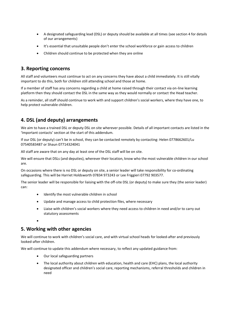- A designated safeguarding lead (DSL) or deputy should be available at all times (see section 4 for details of our arrangements)
- It's essential that unsuitable people don't enter the school workforce or gain access to children
- Children should continue to be protected when they are online

### <span id="page-3-0"></span>**3. Reporting concerns**

All staff and volunteers must continue to act on any concerns they have about a child immediately. It is still vitally important to do this, both for children still attending school and those at home.

If a member of staff has any concerns regarding a child at home raised through their contact via on-line learning platform then they should contact the DSL in the same way as they would normally or contact the Head teacher.

As a reminder, all staff should continue to work with and support children's social workers, where they have one, to help protect vulnerable children.

# <span id="page-3-1"></span>**4. DSL (and deputy) arrangements**

We aim to have a trained DSL or deputy DSL on site wherever possible. Details of all important contacts are listed in the 'Important contacts' section at the start of this addendum.

If our DSL (or deputy) can't be in school, they can be contacted remotely by contacting: Helen 0778662601/Lu 07540583487 or Shaun 07714324041

All staff are aware that on any day at least one of the DSL staff will be on site.

We will ensure that DSLs (and deputies), wherever their location, know who the most vulnerable children in our school are.

On occasions where there is no DSL or deputy on site, a senior leader will take responsibility for co-ordinating safeguarding. This will be Harriet Holdsworth 07834 973243 or Lee Friggieri 07792 903577.

The senior leader will be responsible for liaising with the off-site DSL (or deputy) to make sure they (the senior leader) can:

- Identify the most vulnerable children in school
- Update and manage access to child protection files, where necessary
- Liaise with children's social workers where they need access to children in need and/or to carry out statutory assessments

•

# <span id="page-3-2"></span>**5. Working with other agencies**

We will continue to work with children's social care, and with virtual school heads for looked-after and previously looked-after children.

We will continue to update this addendum where necessary, to reflect any updated guidance from:

- Our local safeguarding partners
- <span id="page-3-3"></span>• The local authority about children with education, health and care (EHC) plans, the local authority designated officer and children's social care, reporting mechanisms, referral thresholds and children in need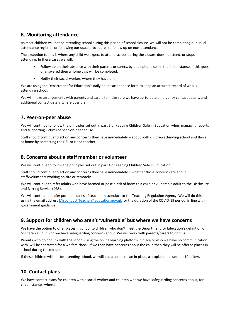## **6. Monitoring attendance**

As most children will not be attending school during this period of school closure, we will not be completing our usual attendance registers or following our usual procedures to follow up on non-attendance.

The exception to this is where any child we expect to attend school during the closure doesn't attend, or stops attending. In these cases we will:

- Follow up on their absence with their parents or carers, by a telephone call in the first instance. If this goes unanswered then a home visit will be completed.
- Notify their social worker, where they have one

We are using the Department for Education's daily online attendance form to keep an accurate record of who is attending school.

We will make arrangements with parents and carers to make sure we have up-to-date emergency contact details, and additional contact details where possible.

### <span id="page-4-0"></span>**7. Peer-on-peer abuse**

We will continue to follow the principles set out in part 5 of Keeping Children Safe in Education when managing reports and supporting victims of peer-on-peer abuse.

<span id="page-4-1"></span>Staff should continue to act on any concerns they have immediately – about both children attending school and those at home by contacting the DSL or Head teacher.

### **8. Concerns about a staff member or volunteer**

We will continue to follow the principles set out in part 4 of Keeping Children Safe in Education.

Staff should continue to act on any concerns they have immediately – whether those concerns are about staff/volunteers working on site or remotely.

We will continue to refer adults who have harmed or pose a risk of harm to a child or vulnerable adult to the Disclosure and Barring Service (DBS).

We will continue to refer potential cases of teacher misconduct to the Teaching Regulation Agency. We will do this using the email address [Misconduct.Teacher@education.gov.uk](mailto:Misconduct.Teacher@education.gov.uk) for the duration of the COVID-19 period, in line with government guidance.

# <span id="page-4-2"></span>**9. Support for children who aren't 'vulnerable' but where we have concerns**

We have the option to offer places in school to children who don't meet the Department for Education's definition of 'vulnerable', but who we have safeguarding concerns about. We will work with parents/carers to do this.

Parents who do not link with the school using the online learning platform in place or who we have no communication with, will be contacted for a welfare check. If we then have concerns about the child then they will be offered places in school during the closure.

If these children will not be attending school, we will put a contact plan in place, as explained in section 10 below.

# <span id="page-4-3"></span>**10. Contact plans**

We have contact plans for children with a social worker and children who we have safeguarding concerns about, for circumstances where: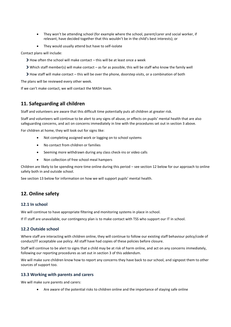- They won't be attending school (for example where the school, parent/carer and social worker, if relevant, have decided together that this wouldn't be in the child's best interests); or
- They would usually attend but have to self-isolate

Contact plans will include:

- How often the school will make contact this will be at least once a week
- Which staff member(s) will make contact as far as possible, this will be staff who know the family well
- How staff will make contact this will be over the phone, doorstep visits, or a combination of both

The plans will be reviewed every other week.

If we can't make contact, we will contact the MASH team.

## <span id="page-5-0"></span>**11. Safeguarding all children**

Staff and volunteers are aware that this difficult time potentially puts all children at greater risk.

Staff and volunteers will continue to be alert to any signs of abuse, or effects on pupils' mental health that are also safeguarding concerns, and act on concerns immediately in line with the procedures set out in section 3 above.

For children at home, they will look out for signs like:

- Not completing assigned work or logging on to school systems
- No contact from children or families
- Seeming more withdrawn during any class check-ins or video calls
- Non collection of free school meal hampers

Children are likely to be spending more time online during this period – see section 12 below for our approach to online safety both in and outside school.

See section 13 below for information on how we will support pupils' mental health.

## <span id="page-5-1"></span>**12. Online safety**

#### **12.1 In school**

We will continue to have appropriate filtering and monitoring systems in place in school.

If IT staff are unavailable, our contingency plan is to make contact with TSS who support our IT in school.

#### **12.2 Outside school**

Where staff are interacting with children online, they will continue to follow our existing staff behaviour policy/code of conduct/IT acceptable use policy. All staff have had copies of these policies before closure.

Staff will continue to be alert to signs that a child may be at risk of harm online, and act on any concerns immediately, following our reporting procedures as set out in section 3 of this addendum.

We will make sure children know how to report any concerns they have back to our school, and signpost them to other sources of support too.

#### **13.3 Working with parents and carers**

We will make sure parents and carers:

• Are aware of the potential risks to children online and the importance of staying safe online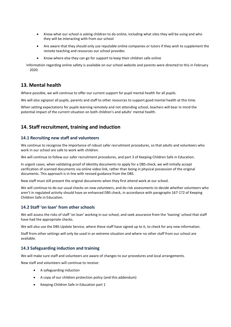- Know what our school is asking children to do online, including what sites they will be using and who they will be interacting with from our school
- Are aware that they should only use reputable online companies or tutors if they wish to supplement the remote teaching and resources our school provides
- Know where else they can go for support to keep their children safe online

Information regarding online safety is available on our school website and parents were directed to this in February 2020.

### <span id="page-6-0"></span>**13. Mental health**

Where possible, we will continue to offer our current support for pupil mental health for all pupils.

We will also signpost all pupils, parents and staff to other resources to support good mental health at this time.

When setting expectations for pupils learning remotely and not attending school, teachers will bear in mind the potential impact of the current situation on both children's and adults' mental health.

## <span id="page-6-1"></span>**14. Staff recruitment, training and induction**

#### **14.1 Recruiting new staff and volunteers**

We continue to recognise the importance of robust safer recruitment procedures, so that adults and volunteers who work in our school are safe to work with children.

We will continue to follow our safer recruitment procedures, and part 3 of Keeping Children Safe in Education.

In urgent cases, when validating proof of identity documents to apply for a DBS check, we will initially accept verification of scanned documents via online video link, rather than being in physical possession of the original documents. This approach is in line with revised guidance from the DBS.

New staff must still present the original documents when they first attend work at our school.

We will continue to do our usual checks on new volunteers, and do risk assessments to decide whether volunteers who aren't in regulated activity should have an enhanced DBS check, in accordance with paragraphs 167-172 of Keeping Children Safe in Education.

#### **14.2 Staff 'on loan' from other schools**

We will assess the risks of staff 'on loan' working in our school, and seek assurance from the 'loaning' school that staff have had the appropriate checks.

We will also use the DBS Update Service, where these staff have signed up to it, to check for any new information.

Staff from other settings will only be used in an extreme situation and where no other staff from our school are available.

#### **14.3 Safeguarding induction and training**

We will make sure staff and volunteers are aware of changes to our procedures and local arrangements.

New staff and volunteers will continue to receive:

- A safeguarding induction
- A copy of our children protection policy (and this addendum)
- Keeping Children Safe in Education part 1